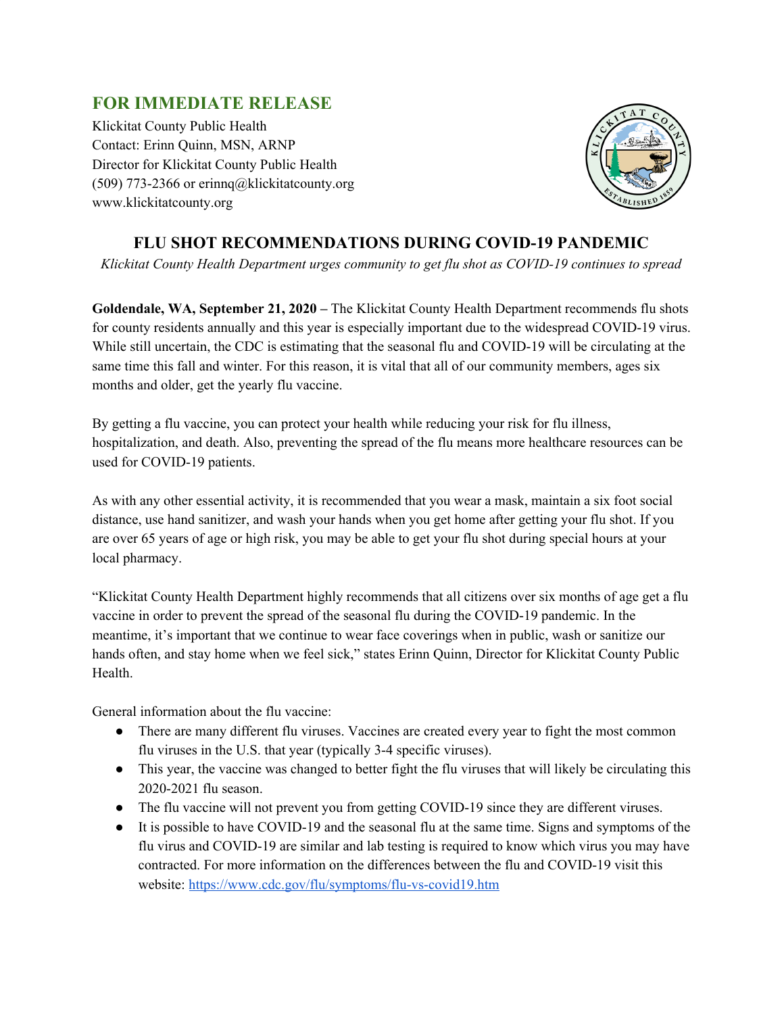## **FOR IMMEDIATE RELEASE**

Klickitat County Public Health Contact: Erinn Quinn, MSN, ARNP Director for Klickitat County Public Health (509) 773-2366 or erinnq@klickitatcounty.org www.klickitatcounty.org



## **FLU SHOT RECOMMENDATIONS DURING COVID-19 PANDEMIC**

*Klickitat County Health Department urges community to get flu shot as COVID-19 continues to spread*

**Goldendale, WA, September 21, 2020 –** The Klickitat County Health Department recommends flu shots for county residents annually and this year is especially important due to the widespread COVID-19 virus. While still uncertain, the CDC is estimating that the seasonal flu and COVID-19 will be circulating at the same time this fall and winter. For this reason, it is vital that all of our community members, ages six months and older, get the yearly flu vaccine.

By getting a flu vaccine, you can protect your health while reducing your risk for flu illness, hospitalization, and death. Also, preventing the spread of the flu means more healthcare resources can be used for COVID-19 patients.

As with any other essential activity, it is recommended that you wear a mask, maintain a six foot social distance, use hand sanitizer, and wash your hands when you get home after getting your flu shot. If you are over 65 years of age or high risk, you may be able to get your flu shot during special hours at your local pharmacy.

"Klickitat County Health Department highly recommends that all citizens over six months of age get a flu vaccine in order to prevent the spread of the seasonal flu during the COVID-19 pandemic. In the meantime, it's important that we continue to wear face coverings when in public, wash or sanitize our hands often, and stay home when we feel sick," states Erinn Quinn, Director for Klickitat County Public **Health** 

General information about the flu vaccine:

- There are many different flu viruses. Vaccines are created every year to fight the most common flu viruses in the U.S. that year (typically 3-4 specific viruses).
- This year, the vaccine was changed to better fight the flu viruses that will likely be circulating this 2020-2021 flu season.
- The flu vaccine will not prevent you from getting COVID-19 since they are different viruses.
- It is possible to have COVID-19 and the seasonal flu at the same time. Signs and symptoms of the flu virus and COVID-19 are similar and lab testing is required to know which virus you may have contracted. For more information on the differences between the flu and COVID-19 visit this website: <https://www.cdc.gov/flu/symptoms/flu-vs-covid19.htm>